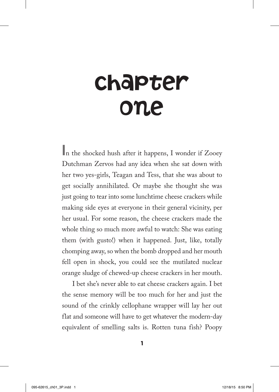## Chapter One

In the shocked hush after it happens, I wonder if Zooey Dutchman Zervos had any idea when she sat down with her two yes-girls, Teagan and Tess, that she was about to get socially annihilated. Or maybe she thought she was just going to tear into some lunchtime cheese crackers while making side eyes at everyone in their general vicinity, per her usual. For some reason, the cheese crackers made the whole thing so much more awful to watch: She was eating them (with gusto!) when it happened. Just, like, totally chomping away, so when the bomb dropped and her mouth fell open in shock, you could see the mutilated nuclear orange sludge of chewed-up cheese crackers in her mouth.

I bet she's never able to eat cheese crackers again. I bet the sense memory will be too much for her and just the sound of the crinkly cellophane wrapper will lay her out flat and someone will have to get whatever the modern-day equivalent of smelling salts is. Rotten tuna fish? Poopy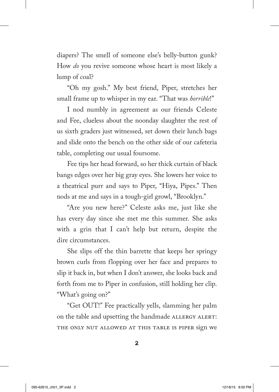diapers? The smell of someone else's belly-button gunk? How *do* you revive someone whose heart is most likely a lump of coal?

"Oh my gosh." My best friend, Piper, stretches her small frame up to whisper in my ear. "That was *horrible*!"

I nod numbly in agreement as our friends Celeste and Fee, clueless about the noonday slaughter the rest of us sixth graders just witnessed, set down their lunch bags and slide onto the bench on the other side of our cafeteria table, completing our usual foursome.

Fee tips her head forward, so her thick curtain of black bangs edges over her big gray eyes. She lowers her voice to a theatrical purr and says to Piper, "Hiya, Pipes." Then nods at me and says in a tough-girl growl, "Brooklyn."

"Are you new here?" Celeste asks me, just like she has every day since she met me this summer. She asks with a grin that I can't help but return, despite the dire circumstances.

She slips off the thin barrette that keeps her springy brown curls from flopping over her face and prepares to slip it back in, but when I don't answer, she looks back and forth from me to Piper in confusion, still holding her clip. "What's going on?"

"Get OUT!" Fee practically yells, slamming her palm on the table and upsetting the handmade ALLERGY ALERT: the only nut allowed at this table is piper sign we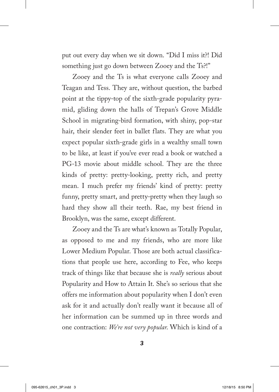put out every day when we sit down. "Did I miss it?! Did something just go down between Zooey and the Ts?!"

Zooey and the Ts is what everyone calls Zooey and Teagan and Tess. They are, without question, the barbed point at the tippy-top of the sixth-grade popularity pyramid, gliding down the halls of Trepan's Grove Middle School in migrating-bird formation, with shiny, pop-star hair, their slender feet in ballet flats. They are what you expect popular sixth-grade girls in a wealthy small town to be like, at least if you've ever read a book or watched a PG-13 movie about middle school. They are the three kinds of pretty: pretty-looking, pretty rich, and pretty mean. I much prefer my friends' kind of pretty: pretty funny, pretty smart, and pretty-pretty when they laugh so hard they show all their teeth. Rae, my best friend in Brooklyn, was the same, except different.

Zooey and the Ts are what's known as Totally Popular, as opposed to me and my friends, who are more like Lower Medium Popular. Those are both actual classifications that people use here, according to Fee, who keeps track of things like that because she is *really* serious about Popularity and How to Attain It. She's so serious that she offers me information about popularity when I don't even ask for it and actually don't really want it because all of her information can be summed up in three words and one contraction: *We're not very popular*. Which is kind of a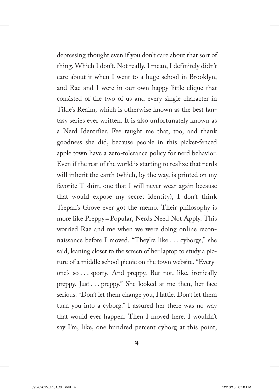depressing thought even if you don't care about that sort of thing. Which I don't. Not really. I mean, I definitely didn't care about it when I went to a huge school in Brooklyn, and Rae and I were in our own happy little clique that consisted of the two of us and every single character in Tilde's Realm*,* which is otherwise known as the best fantasy series ever written. It is also unfortunately known as a Nerd Identifier. Fee taught me that, too, and thank goodness she did, because people in this picket-fenced apple town have a zero-tolerance policy for nerd behavior. Even if the rest of the world is starting to realize that nerds will inherit the earth (which, by the way, is printed on my favorite T-shirt, one that I will never wear again because that would expose my secret identity), I don't think Trepan's Grove ever got the memo. Their philosophy is more like Preppy=Popular, Nerds Need Not Apply. This worried Rae and me when we were doing online reconnaissance before I moved. "They're like . . . cyborgs*,*" she said, leaning closer to the screen of her laptop to study a picture of a middle school picnic on the town website. "Everyone's so . . . sporty. And preppy. But not, like, ironically preppy. Just . . . preppy." She looked at me then, her face serious. "Don't let them change you, Hattie. Don't let them turn you into a cyborg." I assured her there was no way that would ever happen. Then I moved here. I wouldn't say I'm, like, one hundred percent cyborg at this point,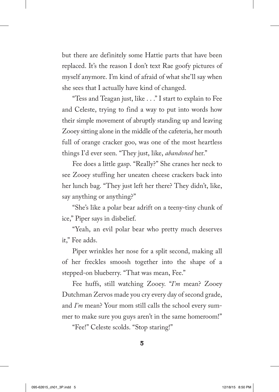but there are definitely some Hattie parts that have been replaced. It's the reason I don't text Rae goofy pictures of myself anymore. I'm kind of afraid of what she'll say when she sees that I actually have kind of changed.

"Tess and Teagan just, like . . ." I start to explain to Fee and Celeste, trying to find a way to put into words how their simple movement of abruptly standing up and leaving Zooey sitting alone in the middle of the cafeteria, her mouth full of orange cracker goo, was one of the most heartless things I'd ever seen. "They just, like, *abandoned* her."

Fee does a little gasp. "Really?" She cranes her neck to see Zooey stuffing her uneaten cheese crackers back into her lunch bag. "They just left her there? They didn't, like, say anything or anything?"

"She's like a polar bear adrift on a teeny-tiny chunk of ice," Piper says in disbelief.

"Yeah, an evil polar bear who pretty much deserves it," Fee adds.

Piper wrinkles her nose for a split second, making all of her freckles smoosh together into the shape of a stepped-on blueberry. "That was mean, Fee."

Fee huffs, still watching Zooey. "*I'm* mean? Zooey Dutchman Zervos made you cry every day of second grade, and *I'm* mean? Your mom still calls the school every summer to make sure you guys aren't in the same homeroom!"

"Fee!" Celeste scolds. "Stop staring!"

5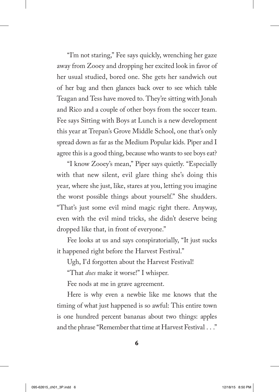"I'm not staring," Fee says quickly, wrenching her gaze away from Zooey and dropping her excited look in favor of her usual studied, bored one. She gets her sandwich out of her bag and then glances back over to see which table Teagan and Tess have moved to. They're sitting with Jonah and Rico and a couple of other boys from the soccer team. Fee says Sitting with Boys at Lunch is a new development this year at Trepan's Grove Middle School, one that's only spread down as far as the Medium Popular kids. Piper and I agree this is a good thing, because who wants to see boys eat?

"I know Zooey's mean," Piper says quietly. "Especially with that new silent, evil glare thing she's doing this year, where she just, like, stares at you, letting you imagine the worst possible things about yourself." She shudders. "That's just some evil mind magic right there. Anyway, even with the evil mind tricks, she didn't deserve being dropped like that, in front of everyone."

Fee looks at us and says conspiratorially, "It just sucks it happened right before the Harvest Festival."

Ugh, I'd forgotten about the Harvest Festival!

"That *does* make it worse!" I whisper.

Fee nods at me in grave agreement.

Here is why even a newbie like me knows that the timing of what just happened is so awful: This entire town is one hundred percent bananas about two things: apples and the phrase "Remember that time at Harvest Festival . . ."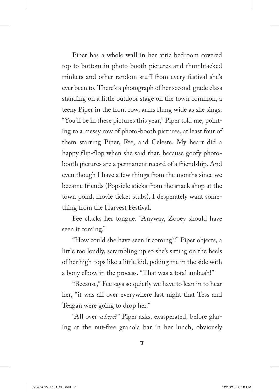Piper has a whole wall in her attic bedroom covered top to bottom in photo-booth pictures and thumbtacked trinkets and other random stuff from every festival she's ever been to. There's a photograph of her second-grade class standing on a little outdoor stage on the town common, a teeny Piper in the front row, arms flung wide as she sings. "You'll be in these pictures this year," Piper told me, pointing to a messy row of photo-booth pictures, at least four of them starring Piper, Fee, and Celeste. My heart did a happy flip-flop when she said that, because goofy photobooth pictures are a permanent record of a friendship. And even though I have a few things from the months since we became friends (Popsicle sticks from the snack shop at the town pond, movie ticket stubs), I desperately want something from the Harvest Festival.

Fee clucks her tongue. "Anyway, Zooey should have seen it coming."

"How could she have seen it coming?!" Piper objects, a little too loudly, scrambling up so she's sitting on the heels of her high-tops like a little kid, poking me in the side with a bony elbow in the process. "That was a total ambush!"

"Because," Fee says so quietly we have to lean in to hear her, "it was all over everywhere last night that Tess and Teagan were going to drop her."

"All over *where*?" Piper asks, exasperated, before glaring at the nut-free granola bar in her lunch, obviously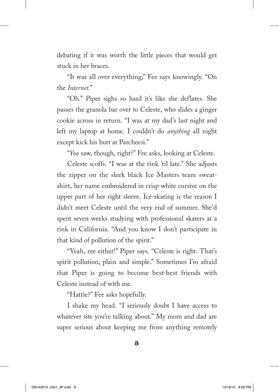debating if it was worth the little pieces that would get stuck in her braces.

"It was all over everything," Fee says knowingly. "On the *Internet*."

"Oh." Piper sighs so hard it's like she deflates. She passes the granola bar over to Celeste, who slides a ginger cookie across in return. "I was at my dad's last night and left my laptop at home. I couldn't do *anything* all night except kick his butt at Parcheesi."

"*You* saw, though, right?" Fee asks, looking at Celeste.

Celeste scoffs. "I was at the rink 'til late." She adjusts the zipper on the sleek black Ice Masters team sweatshirt, her name embroidered in crisp white cursive on the upper part of her right sleeve. Ice-skating is the reason I didn't meet Celeste until the very end of summer. She'd spent seven weeks studying with professional skaters at a rink in California. "And you know I don't participate in that kind of pollution of the spirit."

"Yeah, me either!" Piper says. "Celeste is right. That's spirit pollution, plain and simple." Sometimes I'm afraid that Piper is going to become best-best friends with Celeste instead of with me.

"Hattie?" Fee asks hopefully.

I shake my head. "I seriously doubt I have access to whatever site you're talking about." My mom and dad are super serious about keeping me from anything remotely

8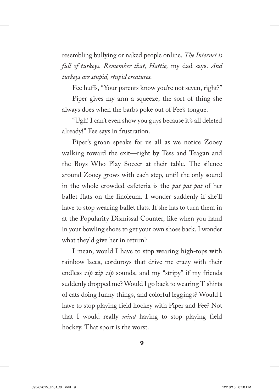resembling bullying or naked people online. *The Internet is full of turkeys. Remember that, Hattie,* my dad says. *And turkeys are stupid, stupid creatures.*

Fee huffs, "Your parents know you're not seven, right?"

Piper gives my arm a squeeze, the sort of thing she always does when the barbs poke out of Fee's tongue.

"Ugh! I can't even show you guys because it's all deleted already!" Fee says in frustration.

Piper's groan speaks for us all as we notice Zooey walking toward the exit—right by Tess and Teagan and the Boys Who Play Soccer at their table. The silence around Zooey grows with each step, until the only sound in the whole crowded cafeteria is the *pat pat pat* of her ballet flats on the linoleum. I wonder suddenly if she'll have to stop wearing ballet flats. If she has to turn them in at the Popularity Dismissal Counter, like when you hand in your bowling shoes to get your own shoes back. I wonder what they'd give her in return?

I mean, would I have to stop wearing high-tops with rainbow laces, corduroys that drive me crazy with their endless *zip zip zip* sounds, and my "stripy" if my friends suddenly dropped me? Would I go back to wearing T-shirts of cats doing funny things, and colorful leggings? Would I have to stop playing field hockey with Piper and Fee? Not that I would really *mind* having to stop playing field hockey. That sport is the worst.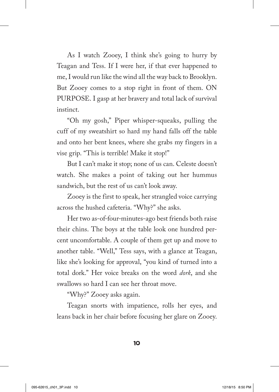As I watch Zooey, I think she's going to hurry by Teagan and Tess. If I were her, if that ever happened to me, I would run like the wind all the way back to Brooklyn. But Zooey comes to a stop right in front of them. ON PURPOSE. I gasp at her bravery and total lack of survival instinct.

"Oh my gosh," Piper whisper-squeaks, pulling the cuff of my sweatshirt so hard my hand falls off the table and onto her bent knees, where she grabs my fingers in a vise grip. "This is terrible! Make it stop!"

But I can't make it stop; none of us can. Celeste doesn't watch. She makes a point of taking out her hummus sandwich, but the rest of us can't look away.

Zooey is the first to speak, her strangled voice carrying across the hushed cafeteria. "Why?" she asks.

Her two as-of-four-minutes-ago best friends both raise their chins. The boys at the table look one hundred percent uncomfortable. A couple of them get up and move to another table. "Well," Tess says, with a glance at Teagan, like she's looking for approval, "you kind of turned into a total dork." Her voice breaks on the word *dork*, and she swallows so hard I can see her throat move.

"Why?" Zooey asks again.

Teagan snorts with impatience, rolls her eyes, and leans back in her chair before focusing her glare on Zooey.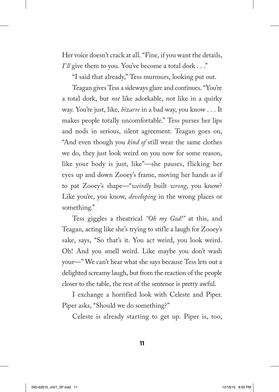Her voice doesn't crack at all. "Fine, if you want the details, *I'll* give them to you. You've become a total dork . . ."

"I said that already," Tess murmurs, looking put out.

Teagan gives Tess a sideways glare and continues. "You're a total dork, but *not* like adorkable, not like in a quirky way. You're just, like, *bizarre* in a bad way, you know . . . It makes people totally uncomfortable." Tess purses her lips and nods in serious, silent agreement. Teagan goes on, "And even though you *kind of* still wear the same clothes we do, they just look weird on you now for some reason, like your body is just, like"—she pauses, flicking her eyes up and down Zooey's frame, moving her hands as if to pat Zooey's shape—"*weirdly* built *wrong*, you know? Like you're, you know, *developing* in the wrong places or something."

Tess giggles a theatrical *"Oh my God!"* at this, and Teagan, acting like she's trying to stifle a laugh for Zooey's sake, says, "So that's it. You act weird, you look weird. Oh! And you smell weird. Like maybe you don't wash your—" We can't hear what she says because Tess lets out a delighted screamy laugh, but from the reaction of the people closer to the table, the rest of the sentence is pretty awful.

I exchange a horrified look with Celeste and Piper. Piper asks, "Should we do something?"

Celeste is already starting to get up. Piper is, too,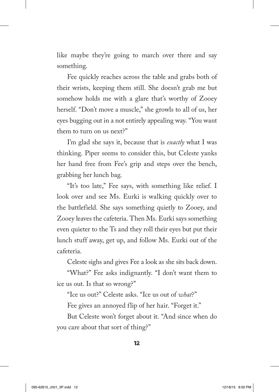like maybe they're going to march over there and say something.

Fee quickly reaches across the table and grabs both of their wrists, keeping them still. She doesn't grab me but somehow holds me with a glare that's worthy of Zooey herself. "Don't move a muscle," she growls to all of us, her eyes bugging out in a not entirely appealing way. "You want them to turn on us next?"

I'm glad she says it, because that is *exactly* what I was thinking. Piper seems to consider this, but Celeste yanks her hand free from Fee's grip and steps over the bench, grabbing her lunch bag.

"It's too late," Fee says, with something like relief. I look over and see Ms. Eurki is walking quickly over to the battlefield. She says something quietly to Zooey, and Zooey leaves the cafeteria. Then Ms. Eurki says something even quieter to the Ts and they roll their eyes but put their lunch stuff away, get up, and follow Ms. Eurki out of the cafeteria.

Celeste sighs and gives Fee a look as she sits back down.

"What?" Fee asks indignantly. "I don't want them to ice us out. Is that so wrong?"

"Ice us out?" Celeste asks. "Ice us out of *what*?"

Fee gives an annoyed flip of her hair. "Forget it."

But Celeste won't forget about it. "And since when do you care about that sort of thing?"